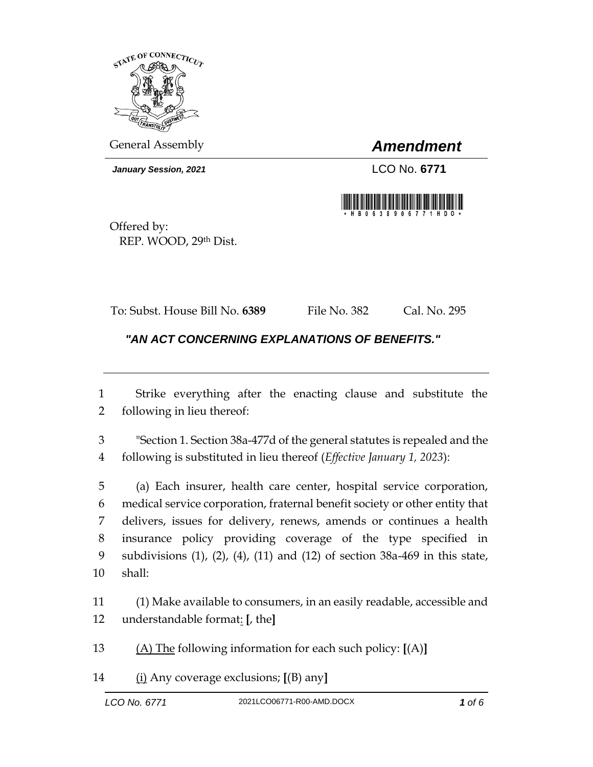

General Assembly *Amendment*

*January Session, 2021* LCO No. **6771**



Offered by: REP. WOOD, 29th Dist.

To: Subst. House Bill No. **6389** File No. 382 Cal. No. 295

*"AN ACT CONCERNING EXPLANATIONS OF BENEFITS."* 

 Strike everything after the enacting clause and substitute the following in lieu thereof:

 "Section 1. Section 38a-477d of the general statutes is repealed and the following is substituted in lieu thereof (*Effective January 1, 2023*):

 (a) Each insurer, health care center, hospital service corporation, medical service corporation, fraternal benefit society or other entity that delivers, issues for delivery, renews, amends or continues a health insurance policy providing coverage of the type specified in subdivisions (1), (2), (4), (11) and (12) of section 38a-469 in this state, shall:

 (1) Make available to consumers, in an easily readable, accessible and understandable format: **[**, the**]**

(A) The following information for each such policy: **[**(A)**]**

(i) Any coverage exclusions; **[**(B) any**]**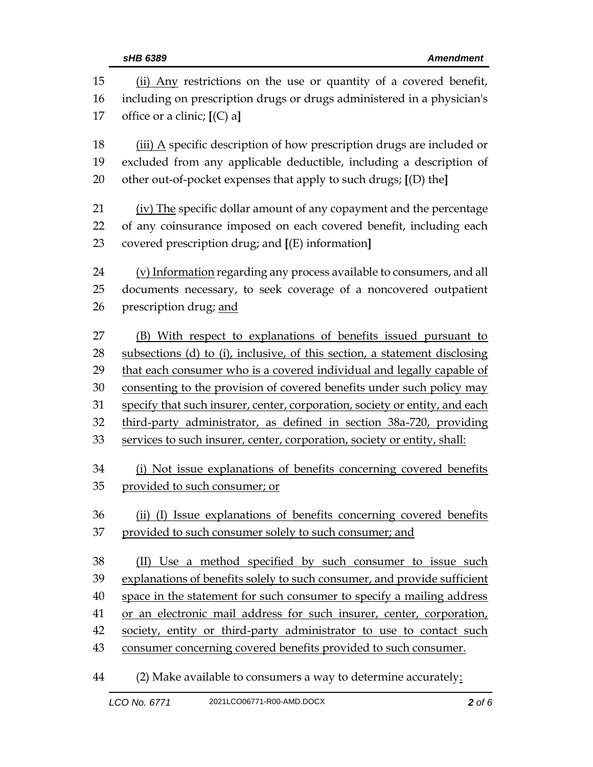| 15<br>16 | (ii) Any restrictions on the use or quantity of a covered benefit,<br>including on prescription drugs or drugs administered in a physician's |  |
|----------|----------------------------------------------------------------------------------------------------------------------------------------------|--|
| 17       | office or a clinic; $[(C) a]$                                                                                                                |  |
| 18       | (iii) A specific description of how prescription drugs are included or                                                                       |  |
| 19       | excluded from any applicable deductible, including a description of                                                                          |  |
| 20       | other out-of-pocket expenses that apply to such drugs; [(D) the]                                                                             |  |
| 21       | (iv) The specific dollar amount of any copayment and the percentage                                                                          |  |
| 22       | of any coinsurance imposed on each covered benefit, including each                                                                           |  |
| 23       | covered prescription drug; and [(E) information]                                                                                             |  |
| 24       | (v) Information regarding any process available to consumers, and all                                                                        |  |
| 25       | documents necessary, to seek coverage of a noncovered outpatient                                                                             |  |
| 26       | prescription drug; and                                                                                                                       |  |
| 27       | (B) With respect to explanations of benefits issued pursuant to                                                                              |  |
| 28       | subsections (d) to (i), inclusive, of this section, a statement disclosing                                                                   |  |
| 29       | that each consumer who is a covered individual and legally capable of                                                                        |  |
| 30       | consenting to the provision of covered benefits under such policy may                                                                        |  |
| 31       | specify that such insurer, center, corporation, society or entity, and each                                                                  |  |
| 32       | third-party administrator, as defined in section 38a-720, providing                                                                          |  |
| 33       | services to such insurer, center, corporation, society or entity, shall:                                                                     |  |
| 34       | (i) Not issue explanations of benefits concerning covered benefits                                                                           |  |
| 35       | provided to such consumer; or                                                                                                                |  |
| 36       | (ii) (I) Issue explanations of benefits concerning covered benefits                                                                          |  |
| 37       | provided to such consumer solely to such consumer; and                                                                                       |  |
| 38       | (II) Use a method specified by such consumer to issue such                                                                                   |  |
| 39       | explanations of benefits solely to such consumer, and provide sufficient                                                                     |  |
| 40       | space in the statement for such consumer to specify a mailing address                                                                        |  |
| 41       | or an electronic mail address for such insurer, center, corporation,                                                                         |  |
| 42       | society, entity or third-party administrator to use to contact such                                                                          |  |
| 43       | consumer concerning covered benefits provided to such consumer.                                                                              |  |

(2) Make available to consumers a way to determine accurately: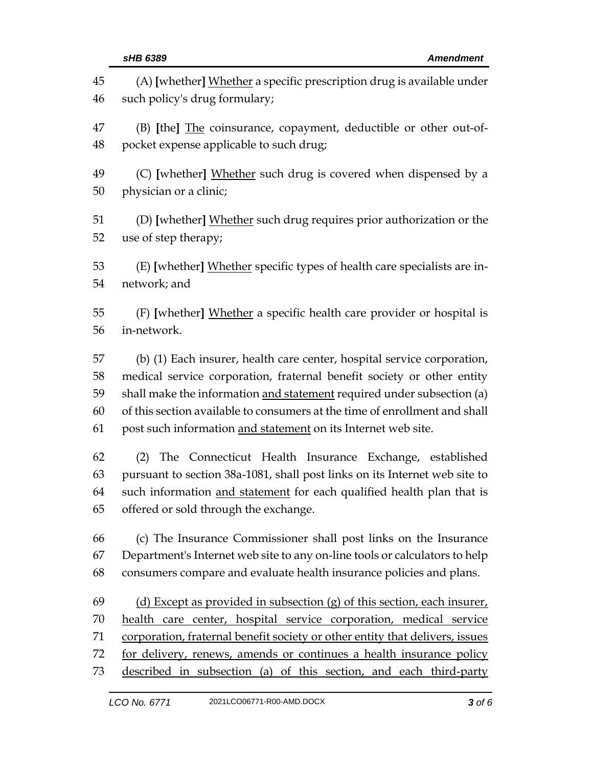| 45                   | (A) [whether] Whether a specific prescription drug is available under                                                                                                                                                                                         |
|----------------------|---------------------------------------------------------------------------------------------------------------------------------------------------------------------------------------------------------------------------------------------------------------|
| 46                   | such policy's drug formulary;                                                                                                                                                                                                                                 |
| 47                   | (B) [the] The coinsurance, copayment, deductible or other out-of-                                                                                                                                                                                             |
| 48                   | pocket expense applicable to such drug;                                                                                                                                                                                                                       |
| 49                   | (C) [whether] Whether such drug is covered when dispensed by a                                                                                                                                                                                                |
| 50                   | physician or a clinic;                                                                                                                                                                                                                                        |
| 51                   | (D) [whether] Whether such drug requires prior authorization or the                                                                                                                                                                                           |
| 52                   | use of step therapy;                                                                                                                                                                                                                                          |
| 53                   | (E) [whether] Whether specific types of health care specialists are in-                                                                                                                                                                                       |
| 54                   | network; and                                                                                                                                                                                                                                                  |
| 55                   | (F) [whether] Whether a specific health care provider or hospital is                                                                                                                                                                                          |
| 56                   | in-network.                                                                                                                                                                                                                                                   |
| 57                   | (b) (1) Each insurer, health care center, hospital service corporation,                                                                                                                                                                                       |
| 58                   | medical service corporation, fraternal benefit society or other entity                                                                                                                                                                                        |
| 59                   | shall make the information and statement required under subsection (a)                                                                                                                                                                                        |
| 60                   | of this section available to consumers at the time of enrollment and shall                                                                                                                                                                                    |
| 61                   | post such information and statement on its Internet web site.                                                                                                                                                                                                 |
| 62<br>63<br>64<br>65 | The Connecticut Health Insurance Exchange, established<br>(2)<br>pursuant to section 38a-1081, shall post links on its Internet web site to<br>such information and statement for each qualified health plan that is<br>offered or sold through the exchange. |
| 66                   | (c) The Insurance Commissioner shall post links on the Insurance                                                                                                                                                                                              |
| 67                   | Department's Internet web site to any on-line tools or calculators to help                                                                                                                                                                                    |
| 68                   | consumers compare and evaluate health insurance policies and plans.                                                                                                                                                                                           |
| 69                   | (d) Except as provided in subsection $(g)$ of this section, each insurer,                                                                                                                                                                                     |
| 70                   | health care center, hospital service corporation, medical service                                                                                                                                                                                             |
| 71                   | corporation, fraternal benefit society or other entity that delivers, issues                                                                                                                                                                                  |
| 72                   | for delivery, renews, amends or continues a health insurance policy                                                                                                                                                                                           |
| 73                   | described in subsection (a) of this section, and each third-party                                                                                                                                                                                             |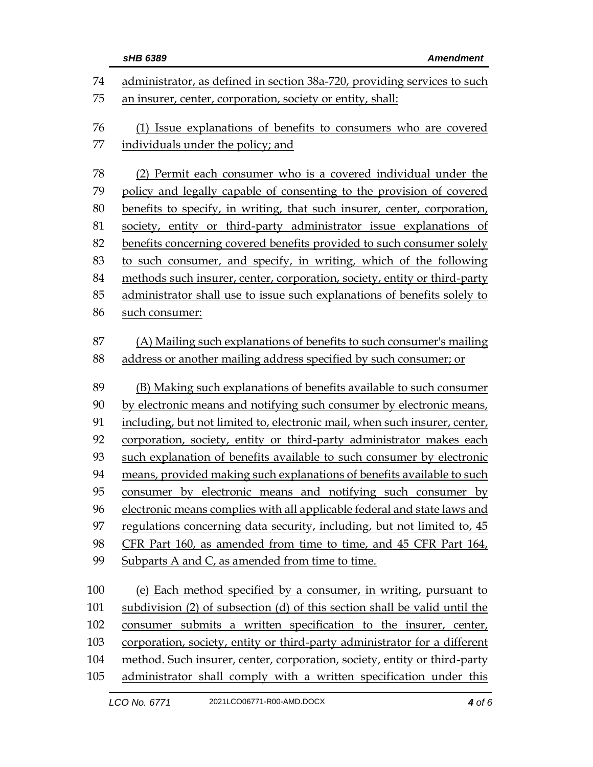|     | sHB 6389<br><b>Amendment</b>                                               |  |
|-----|----------------------------------------------------------------------------|--|
| 74  | administrator, as defined in section 38a-720, providing services to such   |  |
| 75  | an insurer, center, corporation, society or entity, shall:                 |  |
|     |                                                                            |  |
| 76  | (1) Issue explanations of benefits to consumers who are covered            |  |
| 77  | individuals under the policy; and                                          |  |
| 78  | (2) Permit each consumer who is a covered individual under the             |  |
| 79  | policy and legally capable of consenting to the provision of covered       |  |
| 80  | benefits to specify, in writing, that such insurer, center, corporation,   |  |
| 81  | society, entity or third-party administrator issue explanations of         |  |
| 82  | benefits concerning covered benefits provided to such consumer solely      |  |
| 83  | to such consumer, and specify, in writing, which of the following          |  |
| 84  | methods such insurer, center, corporation, society, entity or third-party  |  |
| 85  | administrator shall use to issue such explanations of benefits solely to   |  |
| 86  | such consumer:                                                             |  |
|     |                                                                            |  |
| 87  | (A) Mailing such explanations of benefits to such consumer's mailing       |  |
| 88  | address or another mailing address specified by such consumer; or          |  |
| 89  | (B) Making such explanations of benefits available to such consumer        |  |
| 90  | by electronic means and notifying such consumer by electronic means,       |  |
| 91  | including, but not limited to, electronic mail, when such insurer, center, |  |
| 92  | corporation, society, entity or third-party administrator makes each       |  |
| 93  | such explanation of benefits available to such consumer by electronic      |  |
| 94  | means, provided making such explanations of benefits available to such     |  |
| 95  | consumer by electronic means and notifying such consumer by                |  |
| 96  | electronic means complies with all applicable federal and state laws and   |  |
| 97  | regulations concerning data security, including, but not limited to, 45    |  |
| 98  | CFR Part 160, as amended from time to time, and 45 CFR Part 164,           |  |
| 99  | Subparts A and C, as amended from time to time.                            |  |
| 100 | (e) Each method specified by a consumer, in writing, pursuant to           |  |
| 101 | subdivision (2) of subsection (d) of this section shall be valid until the |  |
| 102 | consumer submits a written specification to the insurer, center,           |  |
| 103 | corporation, society, entity or third-party administrator for a different  |  |
| 104 | method. Such insurer, center, corporation, society, entity or third-party  |  |
| 105 | administrator shall comply with a written specification under this         |  |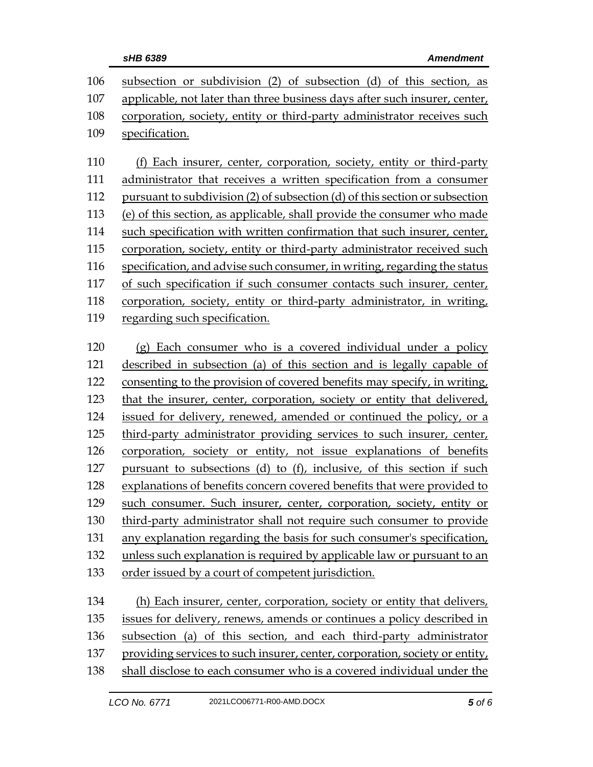| sHB 6389 |
|----------|
|          |

| 106 | subsection or subdivision (2) of subsection (d) of this section, as         |  |
|-----|-----------------------------------------------------------------------------|--|
| 107 | applicable, not later than three business days after such insurer, center,  |  |
| 108 | corporation, society, entity or third-party administrator receives such     |  |
| 109 | specification.                                                              |  |
|     |                                                                             |  |
| 110 | (f) Each insurer, center, corporation, society, entity or third-party       |  |
| 111 | administrator that receives a written specification from a consumer         |  |
| 112 | pursuant to subdivision (2) of subsection (d) of this section or subsection |  |
| 113 | (e) of this section, as applicable, shall provide the consumer who made     |  |
| 114 | such specification with written confirmation that such insurer, center,     |  |
| 115 | corporation, society, entity or third-party administrator received such     |  |
| 116 | specification, and advise such consumer, in writing, regarding the status   |  |
| 117 | of such specification if such consumer contacts such insurer, center,       |  |
| 118 | corporation, society, entity or third-party administrator, in writing,      |  |
| 119 | regarding such specification.                                               |  |
|     |                                                                             |  |
| 120 | (g) Each consumer who is a covered individual under a policy                |  |
| 121 | described in subsection (a) of this section and is legally capable of       |  |
| 122 | consenting to the provision of covered benefits may specify, in writing,    |  |
| 123 | that the insurer, center, corporation, society or entity that delivered,    |  |
| 124 | issued for delivery, renewed, amended or continued the policy, or a         |  |
| 125 | third-party administrator providing services to such insurer, center,       |  |
| 126 | corporation, society or entity, not issue explanations of benefits          |  |
| 127 | pursuant to subsections (d) to (f), inclusive, of this section if such      |  |
| 128 | explanations of benefits concern covered benefits that were provided to     |  |
| 129 | such consumer. Such insurer, center, corporation, society, entity or        |  |
| 130 | third-party administrator shall not require such consumer to provide        |  |
| 131 | any explanation regarding the basis for such consumer's specification,      |  |
| 132 | unless such explanation is required by applicable law or pursuant to an     |  |
| 133 | order issued by a court of competent jurisdiction.                          |  |
|     |                                                                             |  |
| 134 | (h) Each insurer, center, corporation, society or entity that delivers,     |  |
| 135 | issues for delivery, renews, amends or continues a policy described in      |  |
| 136 | subsection (a) of this section, and each third-party administrator          |  |
| 137 | providing services to such insurer, center, corporation, society or entity, |  |
| 138 | shall disclose to each consumer who is a covered individual under the       |  |